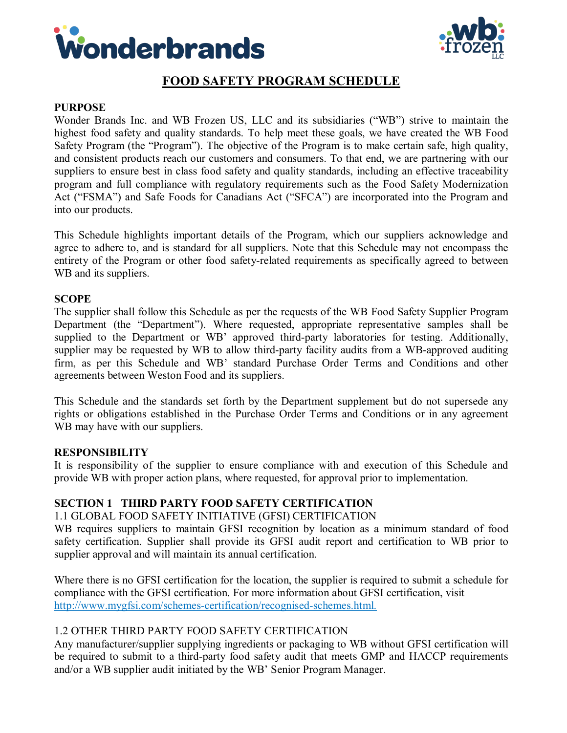



# **FOOD SAFETY PROGRAM SCHEDULE**

#### **PURPOSE**

Wonder Brands Inc. and WB Frozen US, LLC and its subsidiaries ("WB") strive to maintain the highest food safety and quality standards. To help meet these goals, we have created the WB Food Safety Program (the "Program"). The objective of the Program is to make certain safe, high quality, and consistent products reach our customers and consumers. To that end, we are partnering with our suppliers to ensure best in class food safety and quality standards, including an effective traceability program and full compliance with regulatory requirements such as the Food Safety Modernization Act ("FSMA") and Safe Foods for Canadians Act ("SFCA") are incorporated into the Program and into our products.

This Schedule highlights important details of the Program, which our suppliers acknowledge and agree to adhere to, and is standard for all suppliers. Note that this Schedule may not encompass the entirety of the Program or other food safety-related requirements as specifically agreed to between WB and its suppliers.

## **SCOPE**

The supplier shall follow this Schedule as per the requests of the WB Food Safety Supplier Program Department (the "Department"). Where requested, appropriate representative samples shall be supplied to the Department or WB' approved third-party laboratories for testing. Additionally, supplier may be requested by WB to allow third-party facility audits from a WB-approved auditing firm, as per this Schedule and WB' standard Purchase Order Terms and Conditions and other agreements between Weston Food and its suppliers.

This Schedule and the standards set forth by the Department supplement but do not supersede any rights or obligations established in the Purchase Order Terms and Conditions or in any agreement WB may have with our suppliers.

#### **RESPONSIBILITY**

It is responsibility of the supplier to ensure compliance with and execution of this Schedule and provide WB with proper action plans, where requested, for approval prior to implementation.

## **SECTION 1 THIRD PARTY FOOD SAFETY CERTIFICATION**

#### 1.1 GLOBAL FOOD SAFETY INITIATIVE (GFSI) CERTIFICATION

WB requires suppliers to maintain GFSI recognition by location as a minimum standard of food safety certification. Supplier shall provide its GFSI audit report and certification to WB prior to supplier approval and will maintain its annual certification.

Where there is no GFSI certification for the location, the supplier is required to submit a schedule for compliance with the GFSI certification. For more information about GFSI certification, visit [http://www.mygfsi.com/schemes-certification/recognised-schemes.html.](http://www.mygfsi.com/schemes-certification/recognised-schemes.html)

## 1.2 OTHER THIRD PARTY FOOD SAFETY CERTIFICATION

Any manufacturer/supplier supplying ingredients or packaging to WB without GFSI certification will be required to submit to a third-party food safety audit that meets GMP and HACCP requirements and/or a WB supplier audit initiated by the WB' Senior Program Manager.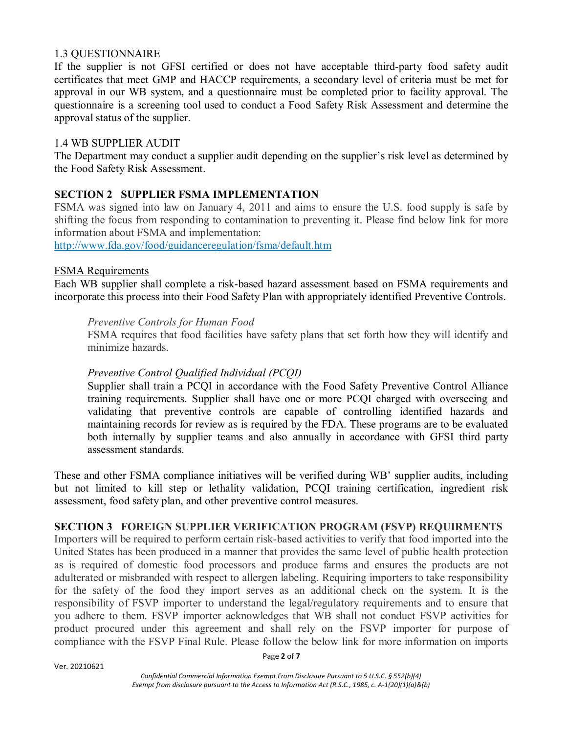## 1.3 QUESTIONNAIRE

If the supplier is not GFSI certified or does not have acceptable third-party food safety audit certificates that meet GMP and HACCP requirements, a secondary level of criteria must be met for approval in our WB system, and a questionnaire must be completed prior to facility approval. The questionnaire is a screening tool used to conduct a Food Safety Risk Assessment and determine the approval status of the supplier.

#### 1.4 WB SUPPLIER AUDIT

The Department may conduct a supplier audit depending on the supplier's risk level as determined by the Food Safety Risk Assessment.

## **SECTION 2 SUPPLIER FSMA IMPLEMENTATION**

FSMA was signed into law on January 4, 2011 and aims to ensure the U.S. food supply is safe by shifting the focus from responding to contamination to preventing it. Please find below link for more information about FSMA and implementation:

<http://www.fda.gov/food/guidanceregulation/fsma/default.htm>

#### FSMA Requirements

Each WB supplier shall complete a risk-based hazard assessment based on FSMA requirements and incorporate this process into their Food Safety Plan with appropriately identified Preventive Controls.

#### *Preventive Controls for Human Food*

FSMA requires that food facilities have safety plans that set forth how they will identify and minimize hazards.

#### *Preventive Control Qualified Individual (PCQI)*

Supplier shall train a PCQI in accordance with the Food Safety Preventive Control Alliance training requirements. Supplier shall have one or more PCQI charged with overseeing and validating that preventive controls are capable of controlling identified hazards and maintaining records for review as is required by the FDA. These programs are to be evaluated both internally by supplier teams and also annually in accordance with GFSI third party assessment standards.

These and other FSMA compliance initiatives will be verified during WB' supplier audits, including but not limited to kill step or lethality validation, PCQI training certification, ingredient risk assessment, food safety plan, and other preventive control measures.

## **SECTION 3 FOREIGN SUPPLIER VERIFICATION PROGRAM (FSVP) REQUIRMENTS**

Importers will be required to perform certain risk-based activities to verify that food imported into the United States has been produced in a manner that provides the same level of public health protection as is required of domestic food processors and produce farms and ensures the products are not adulterated or misbranded with respect to allergen labeling. Requiring importers to take responsibility for the safety of the food they import serves as an additional check on the system. It is the responsibility of FSVP importer to understand the legal/regulatory requirements and to ensure that you adhere to them. FSVP importer acknowledges that WB shall not conduct FSVP activities for product procured under this agreement and shall rely on the FSVP importer for purpose of compliance with the FSVP Final Rule. Please follow the below link for more information on imports

Ver. 20210621

Page **2** of **7**

*Confidential Commercial Information Exempt From Disclosure Pursuant to 5 U.S.C. § 552(b)(4) Exempt from disclosure pursuant to the Access to Information Act (R.S.C., 1985, c. A-1(20)(1)(a)&(b)*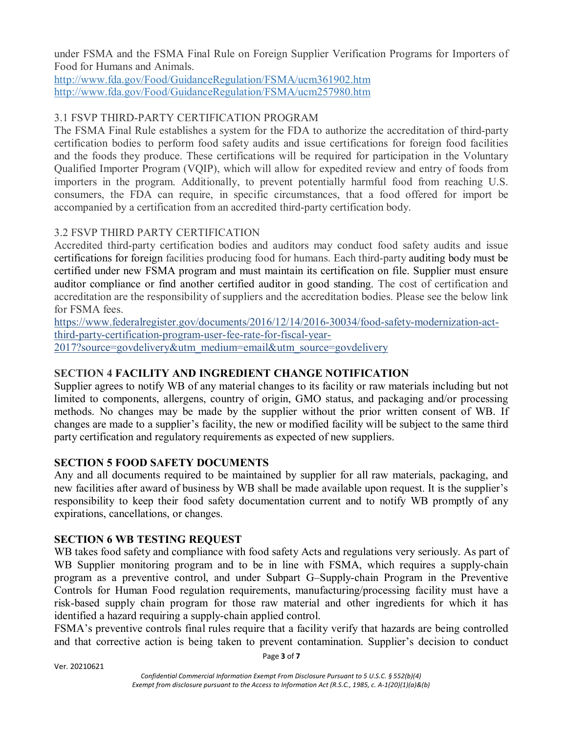under FSMA and the FSMA Final Rule on Foreign Supplier Verification Programs for Importers of Food for Humans and Animals.

<http://www.fda.gov/Food/GuidanceRegulation/FSMA/ucm361902.htm> <http://www.fda.gov/Food/GuidanceRegulation/FSMA/ucm257980.htm>

# 3.1 FSVP THIRD-PARTY CERTIFICATION PROGRAM

The FSMA Final Rule establishes a system for the FDA to authorize the accreditation of third-party certification bodies to perform food safety audits and issue certifications for foreign food facilities and the foods they produce. These certifications will be required for participation in the Voluntary Qualified Importer Program (VQIP), which will allow for expedited review and entry of foods from importers in the program. Additionally, to prevent potentially harmful food from reaching U.S. consumers, the FDA can require, in specific circumstances, that a food offered for import be accompanied by a certification from an accredited third-party certification body.

# 3.2 FSVP THIRD PARTY CERTIFICATION

Accredited third-party certification bodies and auditors may conduct food safety audits and issue certifications for foreign facilities producing food for humans. Each third-party auditing body must be certified under new FSMA program and must maintain its certification on file. Supplier must ensure auditor compliance or find another certified auditor in good standing. The cost of certification and accreditation are the responsibility of suppliers and the accreditation bodies. Please see the below link for FSMA fees.

[https://www.federalregister.gov/documents/2016/12/14/2016-30034/food-safety-modernization-act](https://www.federalregister.gov/documents/2016/12/14/2016-30034/food-safety-modernization-act-third-party-certification-program-user-fee-rate-for-fiscal-year-2017?source=govdelivery&utm_medium=email&utm_source=govdelivery)[third-party-certification-program-user-fee-rate-for-fiscal-year-](https://www.federalregister.gov/documents/2016/12/14/2016-30034/food-safety-modernization-act-third-party-certification-program-user-fee-rate-for-fiscal-year-2017?source=govdelivery&utm_medium=email&utm_source=govdelivery)[2017?source=govdelivery&utm\\_medium=email&utm\\_source=govdelivery](https://www.federalregister.gov/documents/2016/12/14/2016-30034/food-safety-modernization-act-third-party-certification-program-user-fee-rate-for-fiscal-year-2017?source=govdelivery&utm_medium=email&utm_source=govdelivery)

# **SECTION 4 FACILITY AND INGREDIENT CHANGE NOTIFICATION**

Supplier agrees to notify WB of any material changes to its facility or raw materials including but not limited to components, allergens, country of origin, GMO status, and packaging and/or processing methods. No changes may be made by the supplier without the prior written consent of WB. If changes are made to a supplier's facility, the new or modified facility will be subject to the same third party certification and regulatory requirements as expected of new suppliers.

# **SECTION 5 FOOD SAFETY DOCUMENTS**

Any and all documents required to be maintained by supplier for all raw materials, packaging, and new facilities after award of business by WB shall be made available upon request. It is the supplier's responsibility to keep their food safety documentation current and to notify WB promptly of any expirations, cancellations, or changes.

# **SECTION 6 WB TESTING REQUEST**

WB takes food safety and compliance with food safety Acts and regulations very seriously. As part of WB Supplier monitoring program and to be in line with FSMA, which requires a supply-chain program as a preventive control, and under Subpart G–Supply-chain Program in the Preventive Controls for Human Food regulation requirements, manufacturing/processing facility must have a risk-based supply chain program for those raw material and other ingredients for which it has identified a hazard requiring a supply-chain applied control.

FSMA's preventive controls final rules require that a facility verify that hazards are being controlled and that corrective action is being taken to prevent contamination. Supplier's decision to conduct

Ver. 20210621

Page **3** of **7**

*Confidential Commercial Information Exempt From Disclosure Pursuant to 5 U.S.C. § 552(b)(4) Exempt from disclosure pursuant to the Access to Information Act (R.S.C., 1985, c. A-1(20)(1)(a)&(b)*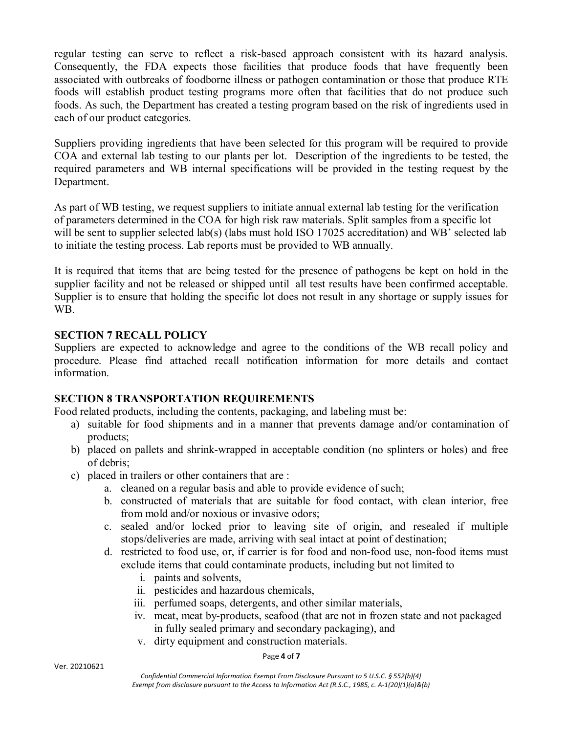regular testing can serve to reflect a risk-based approach consistent with its hazard analysis. Consequently, the FDA expects those facilities that produce foods that have frequently been associated with outbreaks of foodborne illness or pathogen contamination or those that produce RTE foods will establish product testing programs more often that facilities that do not produce such foods. As such, the Department has created a testing program based on the risk of ingredients used in each of our product categories.

Suppliers providing ingredients that have been selected for this program will be required to provide COA and external lab testing to our plants per lot. Description of the ingredients to be tested, the required parameters and WB internal specifications will be provided in the testing request by the Department.

As part of WB testing, we request suppliers to initiate annual external lab testing for the verification of parameters determined in the COA for high risk raw materials. Split samples from a specific lot will be sent to supplier selected lab(s) (labs must hold ISO 17025 accreditation) and WB' selected lab to initiate the testing process. Lab reports must be provided to WB annually.

It is required that items that are being tested for the presence of pathogens be kept on hold in the supplier facility and not be released or shipped until all test results have been confirmed acceptable. Supplier is to ensure that holding the specific lot does not result in any shortage or supply issues for WB.

## **SECTION 7 RECALL POLICY**

Suppliers are expected to acknowledge and agree to the conditions of the WB recall policy and procedure. Please find attached recall notification information for more details and contact information.

## **SECTION 8 TRANSPORTATION REQUIREMENTS**

Food related products, including the contents, packaging, and labeling must be:

- a) suitable for food shipments and in a manner that prevents damage and/or contamination of products;
- b) placed on pallets and shrink-wrapped in acceptable condition (no splinters or holes) and free of debris;
- c) placed in trailers or other containers that are :
	- a. cleaned on a regular basis and able to provide evidence of such;
	- b. constructed of materials that are suitable for food contact, with clean interior, free from mold and/or noxious or invasive odors;
	- c. sealed and/or locked prior to leaving site of origin, and resealed if multiple stops/deliveries are made, arriving with seal intact at point of destination;
	- d. restricted to food use, or, if carrier is for food and non-food use, non-food items must exclude items that could contaminate products, including but not limited to
		- i. paints and solvents,
		- ii. pesticides and hazardous chemicals,
		- iii. perfumed soaps, detergents, and other similar materials,
		- iv. meat, meat by-products, seafood (that are not in frozen state and not packaged in fully sealed primary and secondary packaging), and
		- v. dirty equipment and construction materials.

Page **4** of **7**

Ver. 20210621

*Confidential Commercial Information Exempt From Disclosure Pursuant to 5 U.S.C. § 552(b)(4) Exempt from disclosure pursuant to the Access to Information Act (R.S.C., 1985, c. A-1(20)(1)(a)&(b)*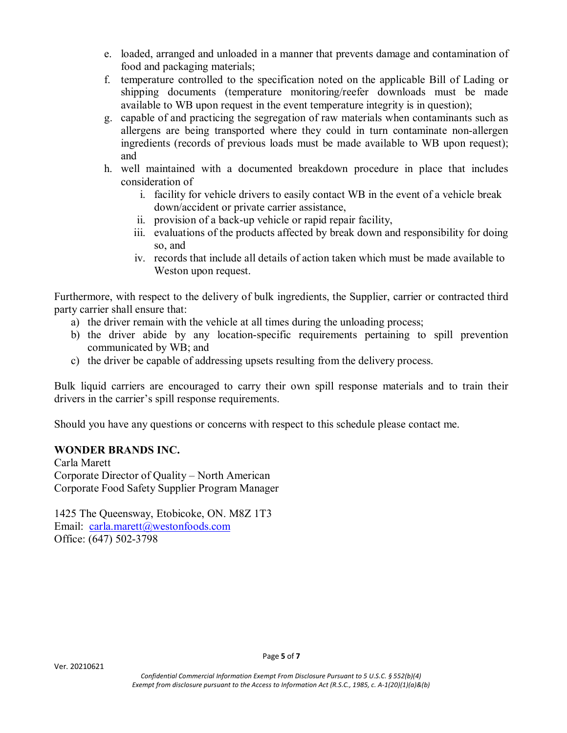- e. loaded, arranged and unloaded in a manner that prevents damage and contamination of food and packaging materials;
- f. temperature controlled to the specification noted on the applicable Bill of Lading or shipping documents (temperature monitoring/reefer downloads must be made available to WB upon request in the event temperature integrity is in question);
- g. capable of and practicing the segregation of raw materials when contaminants such as allergens are being transported where they could in turn contaminate non-allergen ingredients (records of previous loads must be made available to WB upon request); and
- h. well maintained with a documented breakdown procedure in place that includes consideration of
	- i. facility for vehicle drivers to easily contact WB in the event of a vehicle break down/accident or private carrier assistance,
	- ii. provision of a back-up vehicle or rapid repair facility,
	- iii. evaluations of the products affected by break down and responsibility for doing so, and
	- iv. records that include all details of action taken which must be made available to Weston upon request.

Furthermore, with respect to the delivery of bulk ingredients, the Supplier, carrier or contracted third party carrier shall ensure that:

- a) the driver remain with the vehicle at all times during the unloading process;
- b) the driver abide by any location-specific requirements pertaining to spill prevention communicated by WB; and
- c) the driver be capable of addressing upsets resulting from the delivery process.

Bulk liquid carriers are encouraged to carry their own spill response materials and to train their drivers in the carrier's spill response requirements.

Should you have any questions or concerns with respect to this schedule please contact me.

## **WONDER BRANDS INC.**

Carla Marett Corporate Director of Quality – North American Corporate Food Safety Supplier Program Manager

1425 The Queensway, Etobicoke, ON. M8Z 1T3 Email: [carla.marett@westonfoods.com](mailto:carla.marett@westonfoods.com)  Office: (647) 502-3798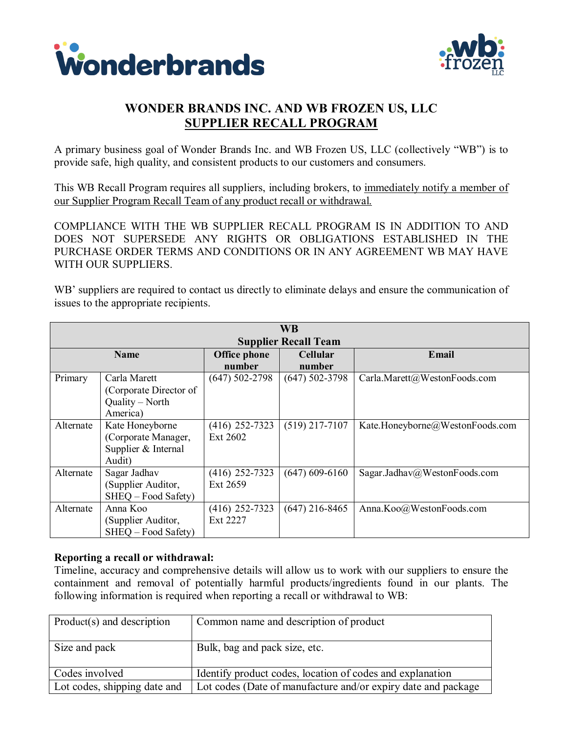



# **WONDER BRANDS INC. AND WB FROZEN US, LLC SUPPLIER RECALL PROGRAM**

A primary business goal of Wonder Brands Inc. and WB Frozen US, LLC (collectively "WB") is to provide safe, high quality, and consistent products to our customers and consumers.

This WB Recall Program requires all suppliers, including brokers, to immediately notify a member of our Supplier Program Recall Team of any product recall or withdrawal.

COMPLIANCE WITH THE WB SUPPLIER RECALL PROGRAM IS IN ADDITION TO AND DOES NOT SUPERSEDE ANY RIGHTS OR OBLIGATIONS ESTABLISHED IN THE PURCHASE ORDER TERMS AND CONDITIONS OR IN ANY AGREEMENT WB MAY HAVE WITH OUR SUPPLIERS.

WB' suppliers are required to contact us directly to eliminate delays and ensure the communication of issues to the appropriate recipients.

| WB                          |                        |                     |                  |                                 |  |  |
|-----------------------------|------------------------|---------------------|------------------|---------------------------------|--|--|
| <b>Supplier Recall Team</b> |                        |                     |                  |                                 |  |  |
| <b>Name</b>                 |                        | <b>Office phone</b> | <b>Cellular</b>  | Email                           |  |  |
|                             |                        | number              | number           |                                 |  |  |
| Primary                     | Carla Marett           | $(647)$ 502-2798    | $(647)$ 502-3798 | Carla.Marett@WestonFoods.com    |  |  |
|                             | (Corporate Director of |                     |                  |                                 |  |  |
|                             | Quality - North        |                     |                  |                                 |  |  |
|                             | America)               |                     |                  |                                 |  |  |
| Alternate                   | Kate Honeyborne        | $(416)$ 252-7323    | $(519)$ 217-7107 | Kate.Honeyborne@WestonFoods.com |  |  |
|                             | (Corporate Manager,    | Ext 2602            |                  |                                 |  |  |
|                             | Supplier & Internal    |                     |                  |                                 |  |  |
|                             | Audit)                 |                     |                  |                                 |  |  |
| Alternate                   | Sagar Jadhav           | $(416)$ 252-7323    | $(647)$ 609-6160 | Sagar.Jadhav@WestonFoods.com    |  |  |
|                             | (Supplier Auditor,     | Ext 2659            |                  |                                 |  |  |
|                             | SHEQ – Food Safety)    |                     |                  |                                 |  |  |
| Alternate                   | Anna Koo               | $(416)$ 252-7323    | $(647)$ 216-8465 | Anna.Koo@WestonFoods.com        |  |  |
|                             | (Supplier Auditor,     | Ext 2227            |                  |                                 |  |  |
|                             | SHEQ - Food Safety)    |                     |                  |                                 |  |  |

## **Reporting a recall or withdrawal:**

Timeline, accuracy and comprehensive details will allow us to work with our suppliers to ensure the containment and removal of potentially harmful products/ingredients found in our plants. The following information is required when reporting a recall or withdrawal to WB:

| Product(s) and description   | Common name and description of product                        |
|------------------------------|---------------------------------------------------------------|
| Size and pack                | Bulk, bag and pack size, etc.                                 |
| Codes involved               | Identify product codes, location of codes and explanation     |
| Lot codes, shipping date and | Lot codes (Date of manufacture and/or expiry date and package |